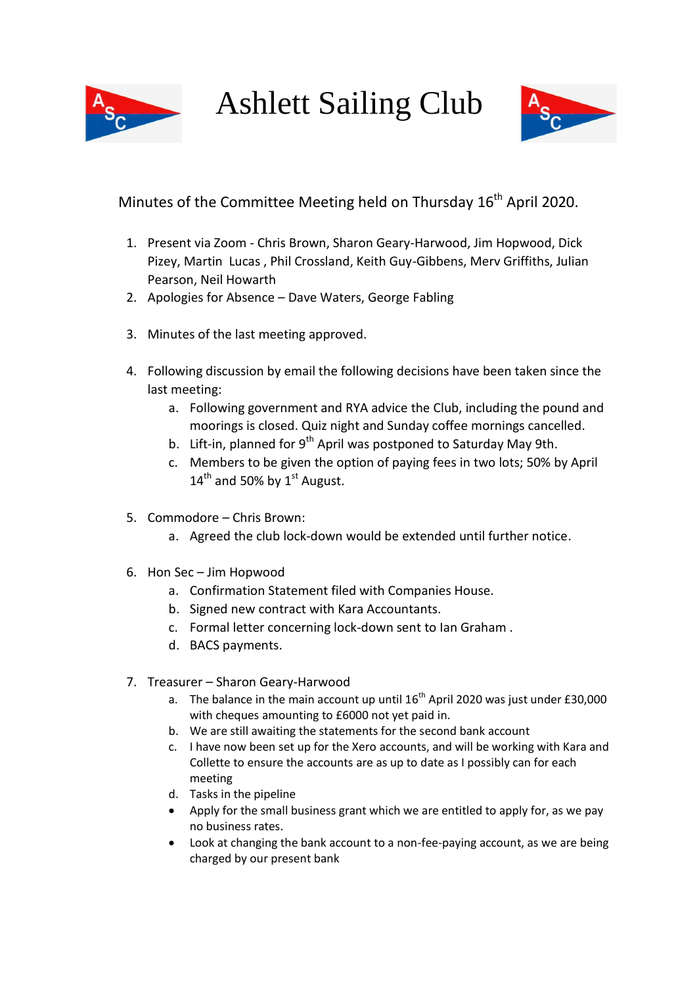Ashlett Sailing Club



# Minutes of the Committee Meeting held on Thursday 16<sup>th</sup> April 2020.

- 1. Present via Zoom Chris Brown, Sharon Geary-Harwood, Jim Hopwood, Dick Pizey, Martin Lucas , Phil Crossland, Keith Guy-Gibbens, Merv Griffiths, Julian Pearson, Neil Howarth
- 2. Apologies for Absence Dave Waters, George Fabling
- 3. Minutes of the last meeting approved.
- 4. Following discussion by email the following decisions have been taken since the last meeting:
	- a. Following government and RYA advice the Club, including the pound and moorings is closed. Quiz night and Sunday coffee mornings cancelled.
	- b. Lift-in, planned for  $9^{th}$  April was postponed to Saturday May 9th.
	- c. Members to be given the option of paying fees in two lots; 50% by April  $14<sup>th</sup>$  and 50% by  $1<sup>st</sup>$  August.
- 5. Commodore Chris Brown:
	- a. Agreed the club lock-down would be extended until further notice.
- 6. Hon Sec Jim Hopwood
	- a. Confirmation Statement filed with Companies House.
	- b. Signed new contract with Kara Accountants.
	- c. Formal letter concerning lock-down sent to Ian Graham .
	- d. BACS payments.
- 7. Treasurer Sharon Geary-Harwood
	- a. The balance in the main account up until  $16^{th}$  April 2020 was just under £30,000 with cheques amounting to £6000 not yet paid in.
	- b. We are still awaiting the statements for the second bank account
	- c. I have now been set up for the Xero accounts, and will be working with Kara and Collette to ensure the accounts are as up to date as I possibly can for each meeting
	- d. Tasks in the pipeline
	- Apply for the small business grant which we are entitled to apply for, as we pay no business rates.
	- Look at changing the bank account to a non-fee-paying account, as we are being charged by our present bank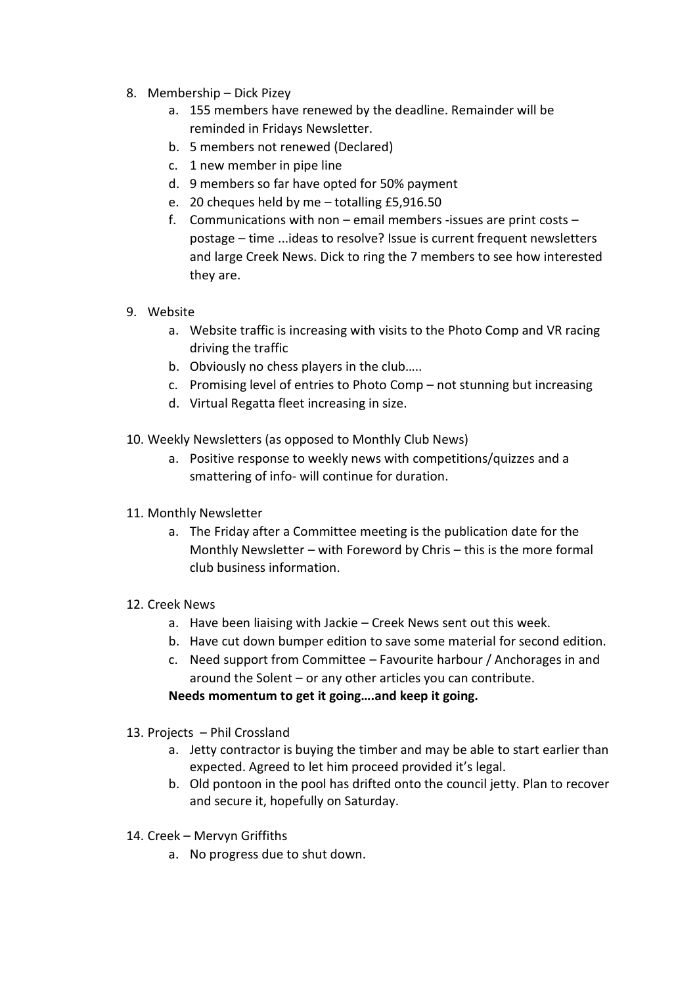- 8. Membership Dick Pizey
	- a. 155 members have renewed by the deadline. Remainder will be reminded in Fridays Newsletter.
	- b. 5 members not renewed (Declared)
	- c. 1 new member in pipe line
	- d. 9 members so far have opted for 50% payment
	- e. 20 cheques held by me totalling £5,916.50
	- f. Communications with non email members -issues are print costs postage – time ...ideas to resolve? Issue is current frequent newsletters and large Creek News. Dick to ring the 7 members to see how interested they are.
- 9. Website
	- a. Website traffic is increasing with visits to the Photo Comp and VR racing driving the traffic
	- b. Obviously no chess players in the club…..
	- c. Promising level of entries to Photo Comp not stunning but increasing
	- d. Virtual Regatta fleet increasing in size.
- 10. Weekly Newsletters (as opposed to Monthly Club News)
	- a. Positive response to weekly news with competitions/quizzes and a smattering of info- will continue for duration.
- 11. Monthly Newsletter
	- a. The Friday after a Committee meeting is the publication date for the Monthly Newsletter – with Foreword by Chris – this is the more formal club business information.
- 12. Creek News
	- a. Have been liaising with Jackie Creek News sent out this week.
	- b. Have cut down bumper edition to save some material for second edition.
	- c. Need support from Committee Favourite harbour / Anchorages in and around the Solent – or any other articles you can contribute.
	- **Needs momentum to get it going….and keep it going.**
- 13. Projects Phil Crossland
	- a. Jetty contractor is buying the timber and may be able to start earlier than expected. Agreed to let him proceed provided it's legal.
	- b. Old pontoon in the pool has drifted onto the council jetty. Plan to recover and secure it, hopefully on Saturday.
- 14. Creek Mervyn Griffiths
	- a. No progress due to shut down.